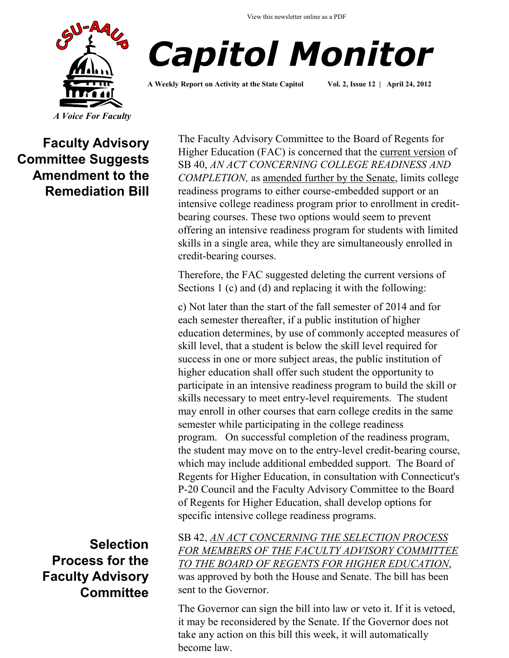



**A Weekly Report on Activity at the State Capitol Vol. 2, Issue 12 | April 24, 2012**

**Faculty Advisory Committee Suggests Amendment to the Remediation Bill**

> **Selection Process for the Faculty Advisory Committee**

The Faculty Advisory Committee to the Board of Regents for Higher Education (FAC) is concerned that the [current version](http://www.cga.ct.gov/2012/TOB/s/pdf/2012SB-00040-R02-SB.pdf) of SB 40, *AN ACT CONCERNING COLLEGE READINESS AND COMPLETION,* as [amended further by the Senate,](http://www.cga.ct.gov/2012/amd/S/2012SB-00040-R00SA-AMD.htm) limits college readiness programs to either course-embedded support or an intensive college readiness program prior to enrollment in creditbearing courses. These two options would seem to prevent offering an intensive readiness program for students with limited skills in a single area, while they are simultaneously enrolled in credit-bearing courses.

Therefore, the FAC suggested deleting the current versions of Sections 1 (c) and (d) and replacing it with the following:

c) Not later than the start of the fall semester of 2014 and for each semester thereafter, if a public institution of higher education determines, by use of commonly accepted measures of skill level, that a student is below the skill level required for success in one or more subject areas, the public institution of higher education shall offer such student the opportunity to participate in an intensive readiness program to build the skill or skills necessary to meet entry-level requirements. The student may enroll in other courses that earn college credits in the same semester while participating in the college readiness program. On successful completion of the readiness program, the student may move on to the entry-level credit-bearing course, which may include additional embedded support. The Board of Regents for Higher Education, in consultation with Connecticut's P-20 Council and the Faculty Advisory Committee to the Board of Regents for Higher Education, shall develop options for specific intensive college readiness programs.

SB 42, *[AN ACT CONCERNING THE SELECTION PROCESS](http://www.cga.ct.gov/2012/FC/2012SB-00042-R000045-FC.htm)  [FOR MEMBERS OF THE FACULTY ADVISORY COMMITTEE](http://www.cga.ct.gov/2012/FC/2012SB-00042-R000045-FC.htm)  [TO THE BOARD OF REGENTS FOR HIGHER EDUCATION](http://www.cga.ct.gov/2012/FC/2012SB-00042-R000045-FC.htm)*, was approved by both the House and Senate. The bill has been sent to the Governor.

The Governor can sign the bill into law or veto it. If it is vetoed, it may be reconsidered by the Senate. If the Governor does not take any action on this bill this week, it will automatically become law.